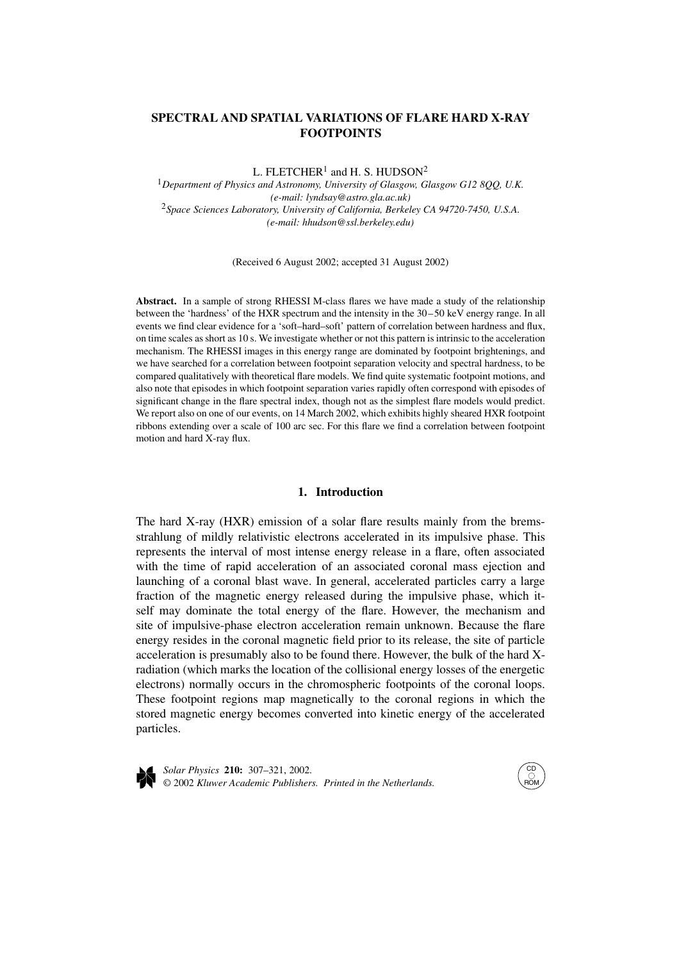# **SPECTRAL AND SPATIAL VARIATIONS OF FLARE HARD X-RAY FOOTPOINTS**

L. FLETCHER<sup>1</sup> and H. S. HUDSON<sup>2</sup>

<sup>1</sup>*Department of Physics and Astronomy, University of Glasgow, Glasgow G12 8QQ, U.K. (e-mail: lyndsay@astro.gla.ac.uk)* <sup>2</sup>*Space Sciences Laboratory, University of California, Berkeley CA 94720-7450, U.S.A. (e-mail: hhudson@ssl.berkeley.edu)*

(Received 6 August 2002; accepted 31 August 2002)

**Abstract.** In a sample of strong RHESSI M-class flares we have made a study of the relationship between the 'hardness' of the HXR spectrum and the intensity in the 30–50 keV energy range. In all events we find clear evidence for a 'soft–hard–soft' pattern of correlation between hardness and flux, on time scales as short as 10 s. We investigate whether or not this pattern is intrinsic to the acceleration mechanism. The RHESSI images in this energy range are dominated by footpoint brightenings, and we have searched for a correlation between footpoint separation velocity and spectral hardness, to be compared qualitatively with theoretical flare models. We find quite systematic footpoint motions, and also note that episodes in which footpoint separation varies rapidly often correspond with episodes of significant change in the flare spectral index, though not as the simplest flare models would predict. We report also on one of our events, on 14 March 2002, which exhibits highly sheared HXR footpoint ribbons extending over a scale of 100 arc sec. For this flare we find a correlation between footpoint motion and hard X-ray flux.

## **1. Introduction**

The hard X-ray (HXR) emission of a solar flare results mainly from the bremsstrahlung of mildly relativistic electrons accelerated in its impulsive phase. This represents the interval of most intense energy release in a flare, often associated with the time of rapid acceleration of an associated coronal mass ejection and launching of a coronal blast wave. In general, accelerated particles carry a large fraction of the magnetic energy released during the impulsive phase, which itself may dominate the total energy of the flare. However, the mechanism and site of impulsive-phase electron acceleration remain unknown. Because the flare energy resides in the coronal magnetic field prior to its release, the site of particle acceleration is presumably also to be found there. However, the bulk of the hard Xradiation (which marks the location of the collisional energy losses of the energetic electrons) normally occurs in the chromospheric footpoints of the coronal loops. These footpoint regions map magnetically to the coronal regions in which the stored magnetic energy becomes converted into kinetic energy of the accelerated particles.



*Solar Physics* **210:** 307–321, 2002. © 2002 *Kluwer Academic Publishers. Printed in the Netherlands.*

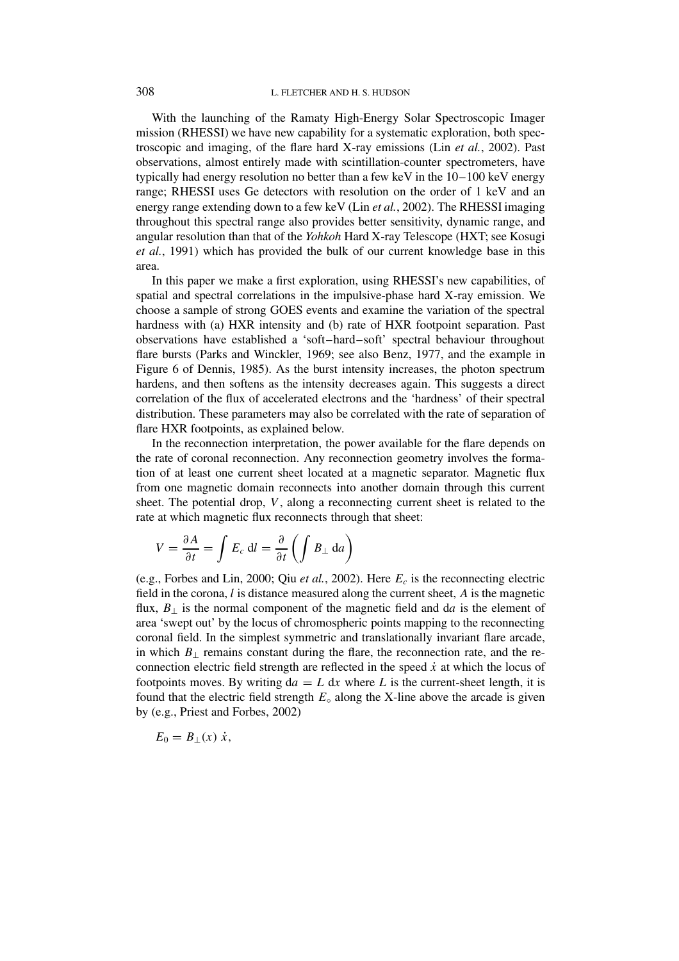With the launching of the Ramaty High-Energy Solar Spectroscopic Imager mission (RHESSI) we have new capability for a systematic exploration, both spectroscopic and imaging, of the flare hard X-ray emissions (Lin *et al.*, 2002). Past observations, almost entirely made with scintillation-counter spectrometers, have typically had energy resolution no better than a few keV in the 10–100 keV energy range; RHESSI uses Ge detectors with resolution on the order of 1 keV and an energy range extending down to a few keV (Lin *et al.*, 2002). The RHESSI imaging throughout this spectral range also provides better sensitivity, dynamic range, and angular resolution than that of the *Yohkoh* Hard X-ray Telescope (HXT; see Kosugi *et al.*, 1991) which has provided the bulk of our current knowledge base in this area.

In this paper we make a first exploration, using RHESSI's new capabilities, of spatial and spectral correlations in the impulsive-phase hard X-ray emission. We choose a sample of strong GOES events and examine the variation of the spectral hardness with (a) HXR intensity and (b) rate of HXR footpoint separation. Past observations have established a 'soft–hard–soft' spectral behaviour throughout flare bursts (Parks and Winckler, 1969; see also Benz, 1977, and the example in Figure 6 of Dennis, 1985). As the burst intensity increases, the photon spectrum hardens, and then softens as the intensity decreases again. This suggests a direct correlation of the flux of accelerated electrons and the 'hardness' of their spectral distribution. These parameters may also be correlated with the rate of separation of flare HXR footpoints, as explained below.

In the reconnection interpretation, the power available for the flare depends on the rate of coronal reconnection. Any reconnection geometry involves the formation of at least one current sheet located at a magnetic separator. Magnetic flux from one magnetic domain reconnects into another domain through this current sheet. The potential drop, *V* , along a reconnecting current sheet is related to the rate at which magnetic flux reconnects through that sheet:

$$
V = \frac{\partial A}{\partial t} = \int E_c \, \mathrm{d}l = \frac{\partial}{\partial t} \left( \int B_{\perp} \, \mathrm{d}a \right)
$$

(e.g., Forbes and Lin, 2000; Qiu *et al.*, 2002). Here *Ec* is the reconnecting electric field in the corona, *l* is distance measured along the current sheet, *A* is the magnetic flux,  $B_{\perp}$  is the normal component of the magnetic field and d*a* is the element of area 'swept out' by the locus of chromospheric points mapping to the reconnecting coronal field. In the simplest symmetric and translationally invariant flare arcade, in which  $B_{\perp}$  remains constant during the flare, the reconnection rate, and the reconnection electric field strength are reflected in the speed  $\dot{x}$  at which the locus of footpoints moves. By writing  $da = L dx$  where L is the current-sheet length, it is found that the electric field strength  $E<sub>°</sub>$  along the X-line above the arcade is given by (e.g., Priest and Forbes, 2002)

 $E_0 = B_{\perp}(x) \dot{x}$ ,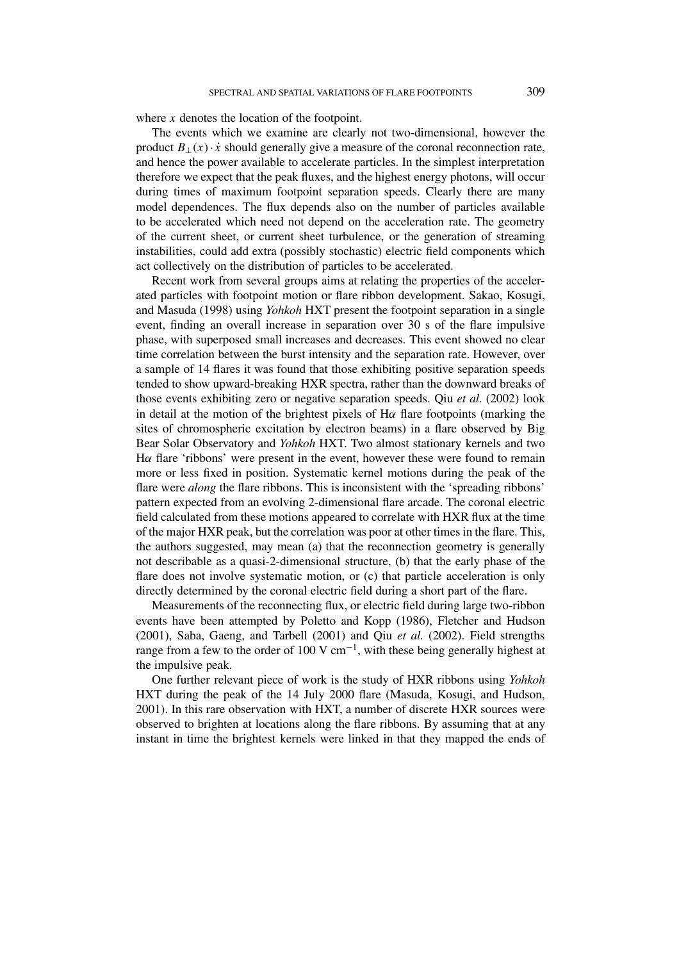where *x* denotes the location of the footpoint.

The events which we examine are clearly not two-dimensional, however the product  $B_{\perp}(x) \cdot \dot{x}$  should generally give a measure of the coronal reconnection rate, and hence the power available to accelerate particles. In the simplest interpretation therefore we expect that the peak fluxes, and the highest energy photons, will occur during times of maximum footpoint separation speeds. Clearly there are many model dependences. The flux depends also on the number of particles available to be accelerated which need not depend on the acceleration rate. The geometry of the current sheet, or current sheet turbulence, or the generation of streaming instabilities, could add extra (possibly stochastic) electric field components which act collectively on the distribution of particles to be accelerated.

Recent work from several groups aims at relating the properties of the accelerated particles with footpoint motion or flare ribbon development. Sakao, Kosugi, and Masuda (1998) using *Yohkoh* HXT present the footpoint separation in a single event, finding an overall increase in separation over 30 s of the flare impulsive phase, with superposed small increases and decreases. This event showed no clear time correlation between the burst intensity and the separation rate. However, over a sample of 14 flares it was found that those exhibiting positive separation speeds tended to show upward-breaking HXR spectra, rather than the downward breaks of those events exhibiting zero or negative separation speeds. Qiu *et al.* (2002) look in detail at the motion of the brightest pixels of H*α* flare footpoints (marking the sites of chromospheric excitation by electron beams) in a flare observed by Big Bear Solar Observatory and *Yohkoh* HXT. Two almost stationary kernels and two H*α* flare 'ribbons' were present in the event, however these were found to remain more or less fixed in position. Systematic kernel motions during the peak of the flare were *along* the flare ribbons. This is inconsistent with the 'spreading ribbons' pattern expected from an evolving 2-dimensional flare arcade. The coronal electric field calculated from these motions appeared to correlate with HXR flux at the time of the major HXR peak, but the correlation was poor at other times in the flare. This, the authors suggested, may mean (a) that the reconnection geometry is generally not describable as a quasi-2-dimensional structure, (b) that the early phase of the flare does not involve systematic motion, or (c) that particle acceleration is only directly determined by the coronal electric field during a short part of the flare.

Measurements of the reconnecting flux, or electric field during large two-ribbon events have been attempted by Poletto and Kopp (1986), Fletcher and Hudson (2001), Saba, Gaeng, and Tarbell (2001) and Qiu *et al.* (2002). Field strengths range from a few to the order of 100 V cm<sup>-1</sup>, with these being generally highest at the impulsive peak.

One further relevant piece of work is the study of HXR ribbons using *Yohkoh* HXT during the peak of the 14 July 2000 flare (Masuda, Kosugi, and Hudson, 2001). In this rare observation with HXT, a number of discrete HXR sources were observed to brighten at locations along the flare ribbons. By assuming that at any instant in time the brightest kernels were linked in that they mapped the ends of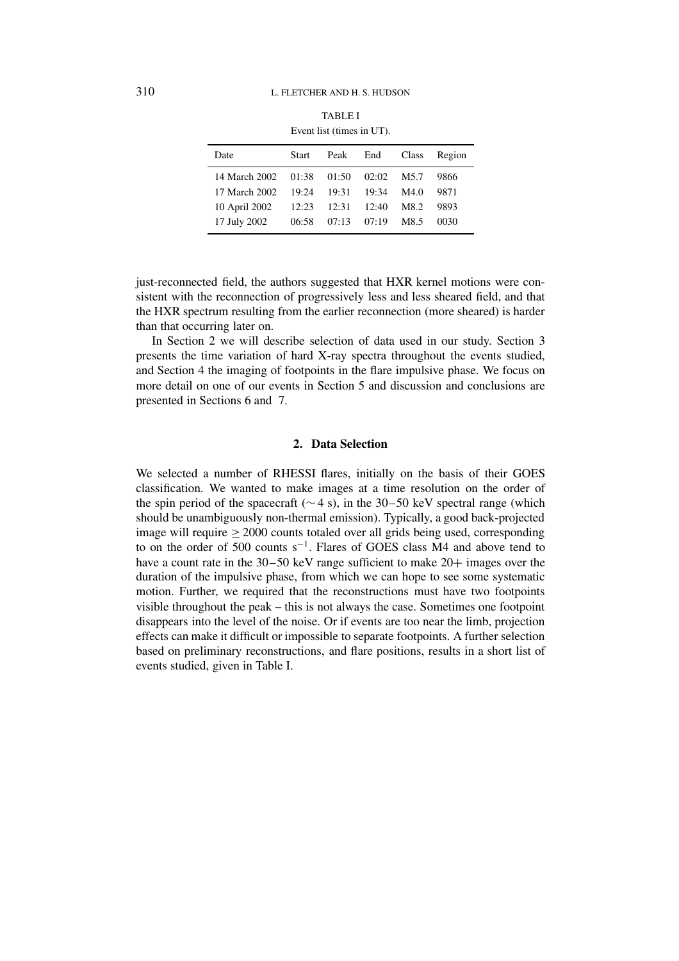| Event list (times in UT). |       |       |       |       |        |  |
|---------------------------|-------|-------|-------|-------|--------|--|
| Date                      | Start | Peak  | End   | Class | Region |  |
| 14 March 2002 01:38 01:50 |       |       | 02:02 | M5.7  | 9866   |  |
| 17 March 2002             | 19:24 | 19:31 | 19:34 | M4.0  | 9871   |  |
| 10 April 2002             | 12:23 | 12:31 | 12:40 | M8.2  | 9893   |  |
| 17 July 2002              | 06:58 | 07:13 | 07:19 | M8.5  | 0030   |  |
|                           |       |       |       |       |        |  |

TABLE I

just-reconnected field, the authors suggested that HXR kernel motions were consistent with the reconnection of progressively less and less sheared field, and that the HXR spectrum resulting from the earlier reconnection (more sheared) is harder than that occurring later on.

In Section 2 we will describe selection of data used in our study. Section 3 presents the time variation of hard X-ray spectra throughout the events studied, and Section 4 the imaging of footpoints in the flare impulsive phase. We focus on more detail on one of our events in Section 5 and discussion and conclusions are presented in Sections 6 and 7.

## **2. Data Selection**

We selected a number of RHESSI flares, initially on the basis of their GOES classification. We wanted to make images at a time resolution on the order of the spin period of the spacecraft ( $∼$  4 s), in the 30–50 keV spectral range (which should be unambiguously non-thermal emission). Typically, a good back-projected image will require ≥ 2000 counts totaled over all grids being used, corresponding to on the order of 500 counts s−1. Flares of GOES class M4 and above tend to have a count rate in the 30–50 keV range sufficient to make 20+ images over the duration of the impulsive phase, from which we can hope to see some systematic motion. Further, we required that the reconstructions must have two footpoints visible throughout the peak – this is not always the case. Sometimes one footpoint disappears into the level of the noise. Or if events are too near the limb, projection effects can make it difficult or impossible to separate footpoints. A further selection based on preliminary reconstructions, and flare positions, results in a short list of events studied, given in Table I.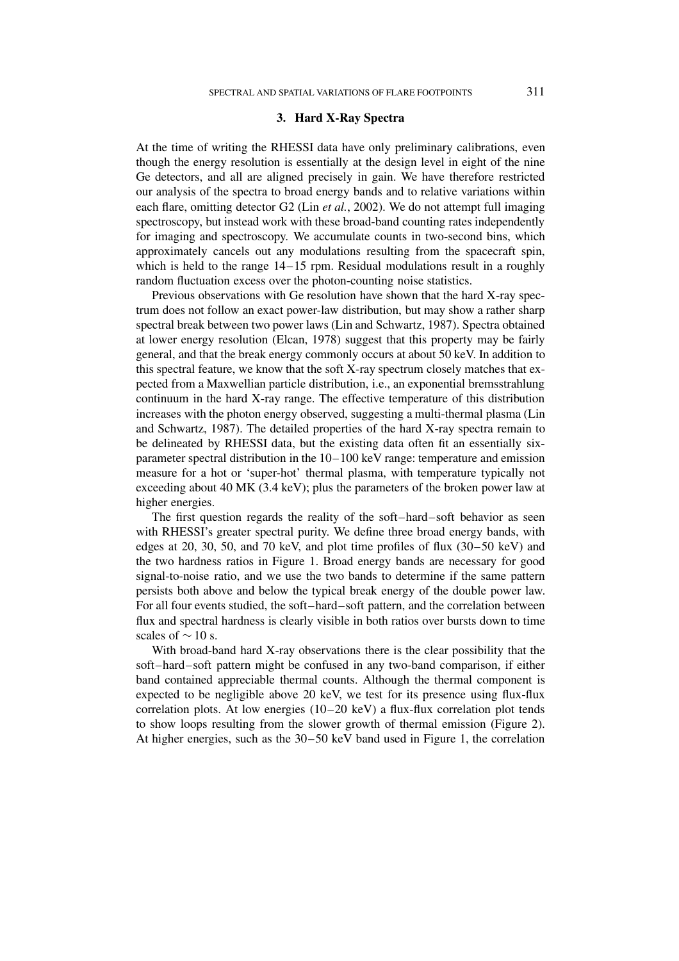## **3. Hard X-Ray Spectra**

At the time of writing the RHESSI data have only preliminary calibrations, even though the energy resolution is essentially at the design level in eight of the nine Ge detectors, and all are aligned precisely in gain. We have therefore restricted our analysis of the spectra to broad energy bands and to relative variations within each flare, omitting detector G2 (Lin *et al.*, 2002). We do not attempt full imaging spectroscopy, but instead work with these broad-band counting rates independently for imaging and spectroscopy. We accumulate counts in two-second bins, which approximately cancels out any modulations resulting from the spacecraft spin, which is held to the range  $14-15$  rpm. Residual modulations result in a roughly random fluctuation excess over the photon-counting noise statistics.

Previous observations with Ge resolution have shown that the hard X-ray spectrum does not follow an exact power-law distribution, but may show a rather sharp spectral break between two power laws (Lin and Schwartz, 1987). Spectra obtained at lower energy resolution (Elcan, 1978) suggest that this property may be fairly general, and that the break energy commonly occurs at about 50 keV. In addition to this spectral feature, we know that the soft X-ray spectrum closely matches that expected from a Maxwellian particle distribution, i.e., an exponential bremsstrahlung continuum in the hard X-ray range. The effective temperature of this distribution increases with the photon energy observed, suggesting a multi-thermal plasma (Lin and Schwartz, 1987). The detailed properties of the hard X-ray spectra remain to be delineated by RHESSI data, but the existing data often fit an essentially sixparameter spectral distribution in the 10–100 keV range: temperature and emission measure for a hot or 'super-hot' thermal plasma, with temperature typically not exceeding about 40 MK (3.4 keV); plus the parameters of the broken power law at higher energies.

The first question regards the reality of the soft–hard–soft behavior as seen with RHESSI's greater spectral purity. We define three broad energy bands, with edges at 20, 30, 50, and 70 keV, and plot time profiles of flux (30–50 keV) and the two hardness ratios in Figure 1. Broad energy bands are necessary for good signal-to-noise ratio, and we use the two bands to determine if the same pattern persists both above and below the typical break energy of the double power law. For all four events studied, the soft–hard–soft pattern, and the correlation between flux and spectral hardness is clearly visible in both ratios over bursts down to time scales of  $\sim$  10 s.

With broad-band hard X-ray observations there is the clear possibility that the soft–hard–soft pattern might be confused in any two-band comparison, if either band contained appreciable thermal counts. Although the thermal component is expected to be negligible above 20 keV, we test for its presence using flux-flux correlation plots. At low energies (10–20 keV) a flux-flux correlation plot tends to show loops resulting from the slower growth of thermal emission (Figure 2). At higher energies, such as the 30–50 keV band used in Figure 1, the correlation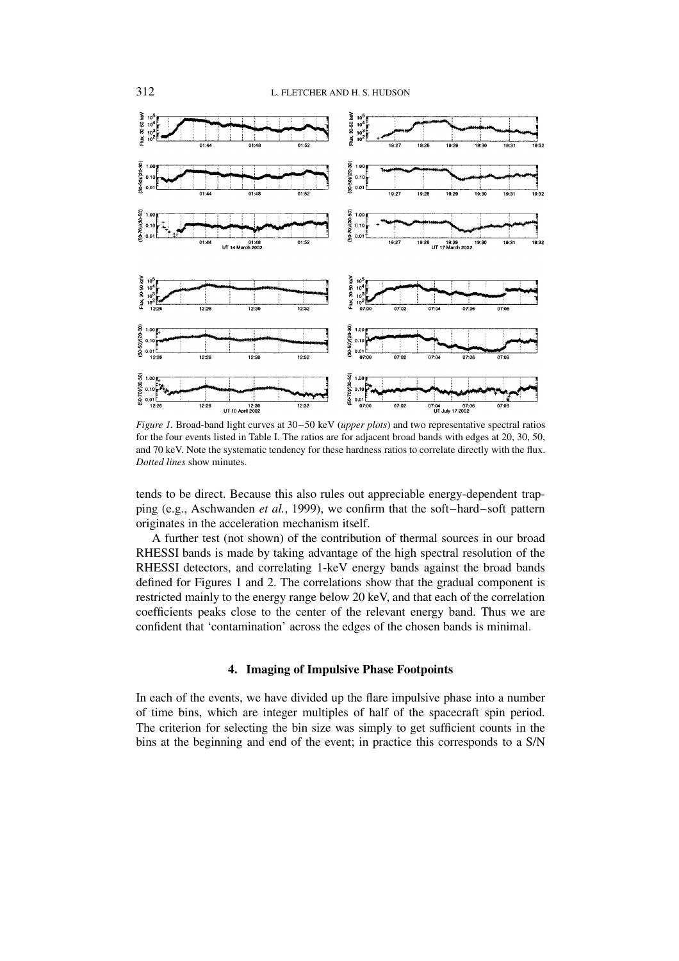

*Figure 1.* Broad-band light curves at 30–50 keV (*upper plots*) and two representative spectral ratios for the four events listed in Table I. The ratios are for adjacent broad bands with edges at 20, 30, 50, and 70 keV. Note the systematic tendency for these hardness ratios to correlate directly with the flux. *Dotted lines* show minutes.

tends to be direct. Because this also rules out appreciable energy-dependent trapping (e.g., Aschwanden *et al.*, 1999), we confirm that the soft–hard–soft pattern originates in the acceleration mechanism itself.

A further test (not shown) of the contribution of thermal sources in our broad RHESSI bands is made by taking advantage of the high spectral resolution of the RHESSI detectors, and correlating 1-keV energy bands against the broad bands defined for Figures 1 and 2. The correlations show that the gradual component is restricted mainly to the energy range below 20 keV, and that each of the correlation coefficients peaks close to the center of the relevant energy band. Thus we are confident that 'contamination' across the edges of the chosen bands is minimal.

## **4. Imaging of Impulsive Phase Footpoints**

In each of the events, we have divided up the flare impulsive phase into a number of time bins, which are integer multiples of half of the spacecraft spin period. The criterion for selecting the bin size was simply to get sufficient counts in the bins at the beginning and end of the event; in practice this corresponds to a S/N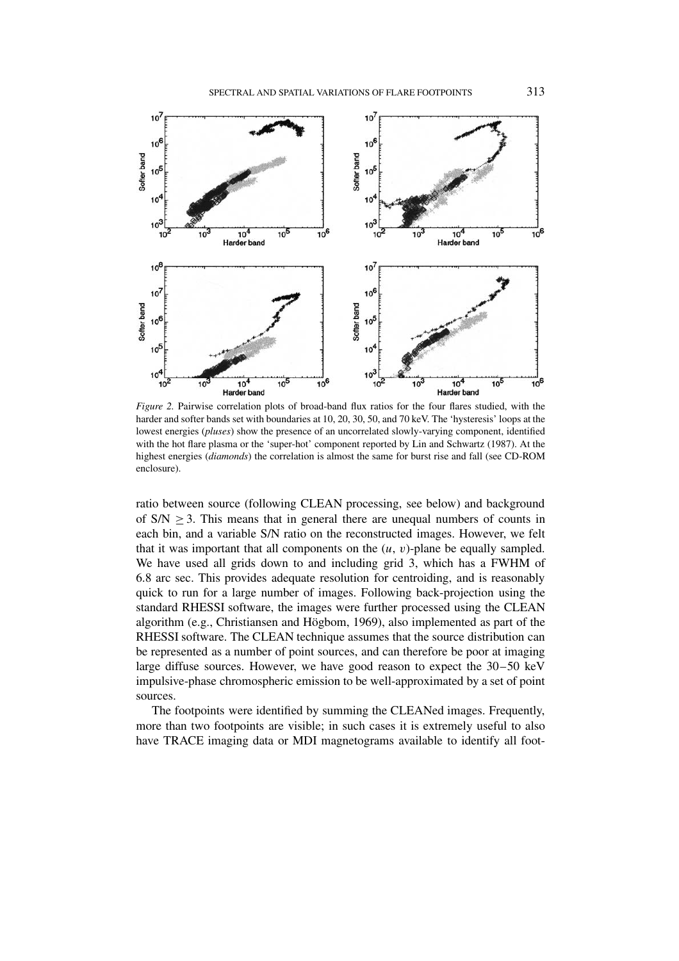

*Figure 2.* Pairwise correlation plots of broad-band flux ratios for the four flares studied, with the harder and softer bands set with boundaries at 10, 20, 30, 50, and 70 keV. The 'hysteresis' loops at the lowest energies (*pluses*) show the presence of an uncorrelated slowly-varying component, identified with the hot flare plasma or the 'super-hot' component reported by Lin and Schwartz (1987). At the highest energies (*diamonds*) the correlation is almost the same for burst rise and fall (see CD-ROM enclosure).

ratio between source (following CLEAN processing, see below) and background of  $S/N > 3$ . This means that in general there are unequal numbers of counts in each bin, and a variable S/N ratio on the reconstructed images. However, we felt that it was important that all components on the  $(u, v)$ -plane be equally sampled. We have used all grids down to and including grid 3, which has a FWHM of 6.8 arc sec. This provides adequate resolution for centroiding, and is reasonably quick to run for a large number of images. Following back-projection using the standard RHESSI software, the images were further processed using the CLEAN algorithm (e.g., Christiansen and Högbom, 1969), also implemented as part of the RHESSI software. The CLEAN technique assumes that the source distribution can be represented as a number of point sources, and can therefore be poor at imaging large diffuse sources. However, we have good reason to expect the 30–50 keV impulsive-phase chromospheric emission to be well-approximated by a set of point sources.

The footpoints were identified by summing the CLEANed images. Frequently, more than two footpoints are visible; in such cases it is extremely useful to also have TRACE imaging data or MDI magnetograms available to identify all foot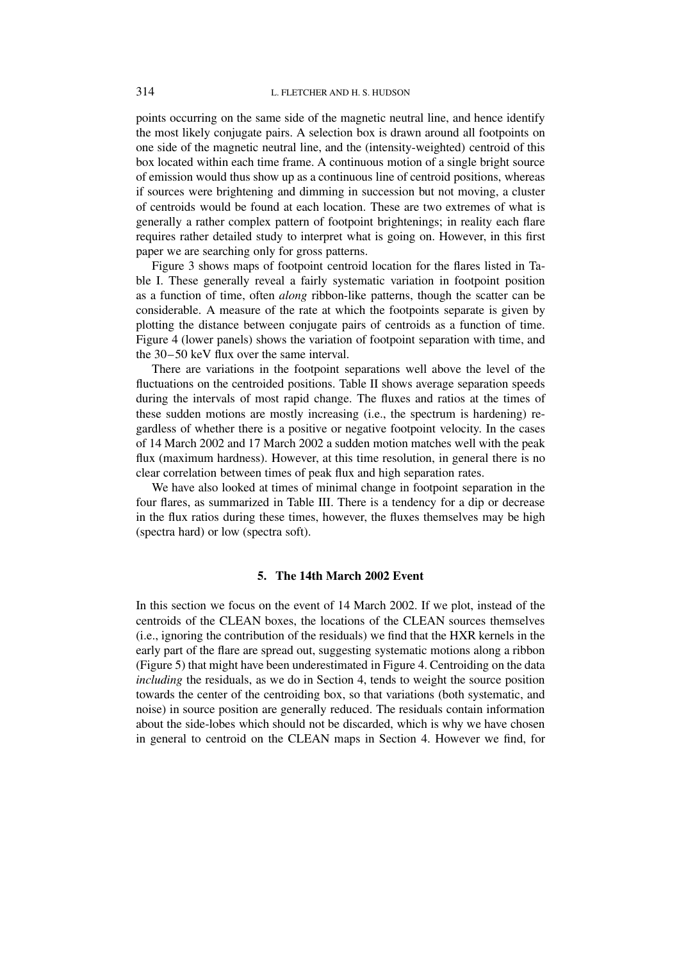points occurring on the same side of the magnetic neutral line, and hence identify the most likely conjugate pairs. A selection box is drawn around all footpoints on one side of the magnetic neutral line, and the (intensity-weighted) centroid of this box located within each time frame. A continuous motion of a single bright source of emission would thus show up as a continuous line of centroid positions, whereas if sources were brightening and dimming in succession but not moving, a cluster of centroids would be found at each location. These are two extremes of what is generally a rather complex pattern of footpoint brightenings; in reality each flare requires rather detailed study to interpret what is going on. However, in this first paper we are searching only for gross patterns.

Figure 3 shows maps of footpoint centroid location for the flares listed in Table I. These generally reveal a fairly systematic variation in footpoint position as a function of time, often *along* ribbon-like patterns, though the scatter can be considerable. A measure of the rate at which the footpoints separate is given by plotting the distance between conjugate pairs of centroids as a function of time. Figure 4 (lower panels) shows the variation of footpoint separation with time, and the 30–50 keV flux over the same interval.

There are variations in the footpoint separations well above the level of the fluctuations on the centroided positions. Table II shows average separation speeds during the intervals of most rapid change. The fluxes and ratios at the times of these sudden motions are mostly increasing (i.e., the spectrum is hardening) regardless of whether there is a positive or negative footpoint velocity. In the cases of 14 March 2002 and 17 March 2002 a sudden motion matches well with the peak flux (maximum hardness). However, at this time resolution, in general there is no clear correlation between times of peak flux and high separation rates.

We have also looked at times of minimal change in footpoint separation in the four flares, as summarized in Table III. There is a tendency for a dip or decrease in the flux ratios during these times, however, the fluxes themselves may be high (spectra hard) or low (spectra soft).

## **5. The 14th March 2002 Event**

In this section we focus on the event of 14 March 2002. If we plot, instead of the centroids of the CLEAN boxes, the locations of the CLEAN sources themselves (i.e., ignoring the contribution of the residuals) we find that the HXR kernels in the early part of the flare are spread out, suggesting systematic motions along a ribbon (Figure 5) that might have been underestimated in Figure 4. Centroiding on the data *including* the residuals, as we do in Section 4, tends to weight the source position towards the center of the centroiding box, so that variations (both systematic, and noise) in source position are generally reduced. The residuals contain information about the side-lobes which should not be discarded, which is why we have chosen in general to centroid on the CLEAN maps in Section 4. However we find, for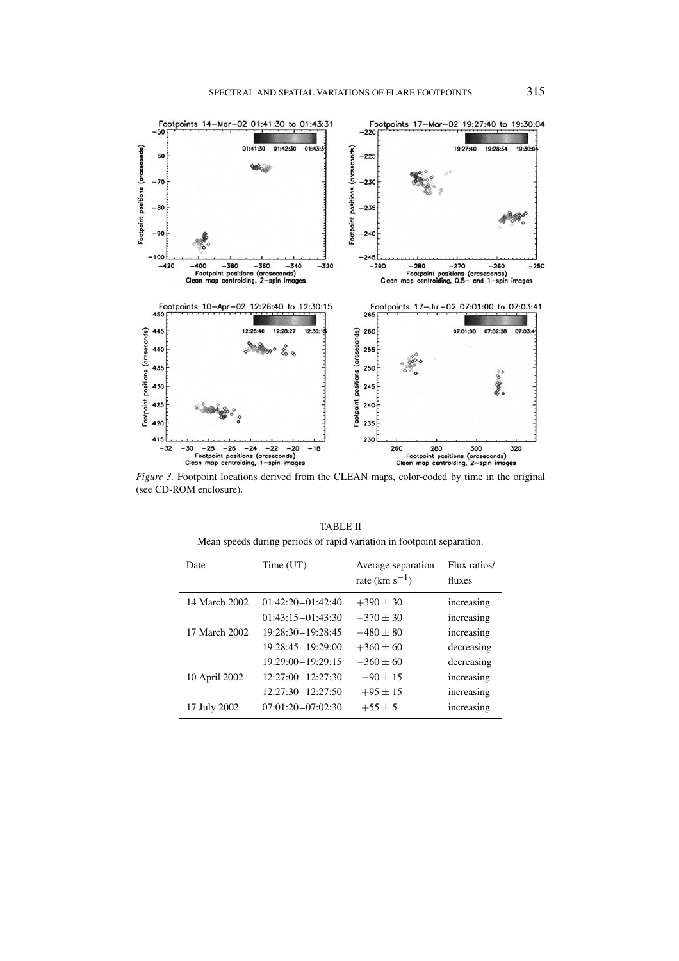

*Figure 3.* Footpoint locations derived from the CLEAN maps, color-coded by time in the original (see CD-ROM enclosure).

| Date          | Time (UT)             | Average separation<br>rate $(km s^{-1})$ | Flux ratios/<br>fluxes |
|---------------|-----------------------|------------------------------------------|------------------------|
| 14 March 2002 | $01:42:20-01:42:40$   | $+390 \pm 30$                            | increasing             |
|               | $01:43:15-01:43:30$   | $-370 \pm 30$                            | increasing             |
| 17 March 2002 | $19:28:30-19:28:45$   | $-480 \pm 80$                            | increasing             |
|               | $19:28:45 - 19:29:00$ | $+360 \pm 60$                            | decreasing             |
|               | $19:29:00-19:29:15$   | $-360 + 60$                              | decreasing             |
| 10 April 2002 | $12:27:00 - 12:27:30$ | $-90 \pm 15$                             | increasing             |
|               | $12:27:30-12:27:50$   | $+95 \pm 15$                             | increasing             |
| 17 July 2002  | $07:01:20 - 07:02:30$ | $+55 \pm 5$                              | increasing             |

TABLE II Mean speeds during periods of rapid variation in footpoint separation.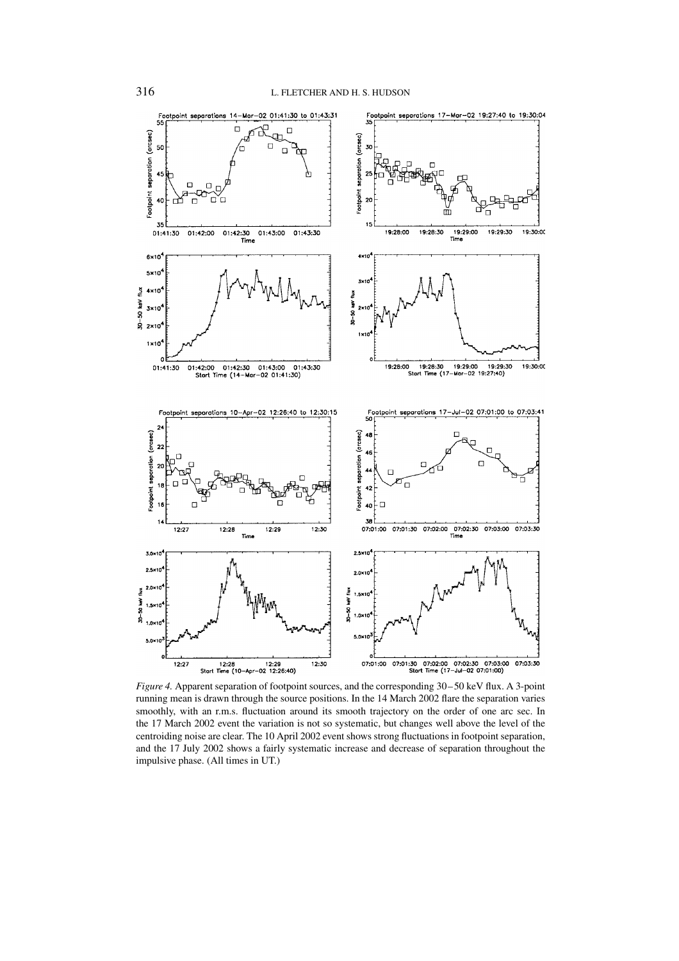

*Figure 4.* Apparent separation of footpoint sources, and the corresponding 30–50 keV flux. A 3-point running mean is drawn through the source positions. In the 14 March 2002 flare the separation varies smoothly, with an r.m.s. fluctuation around its smooth trajectory on the order of one arc sec. In the 17 March 2002 event the variation is not so systematic, but changes well above the level of the centroiding noise are clear. The 10 April 2002 event shows strong fluctuations in footpoint separation, and the 17 July 2002 shows a fairly systematic increase and decrease of separation throughout the impulsive phase. (All times in UT.)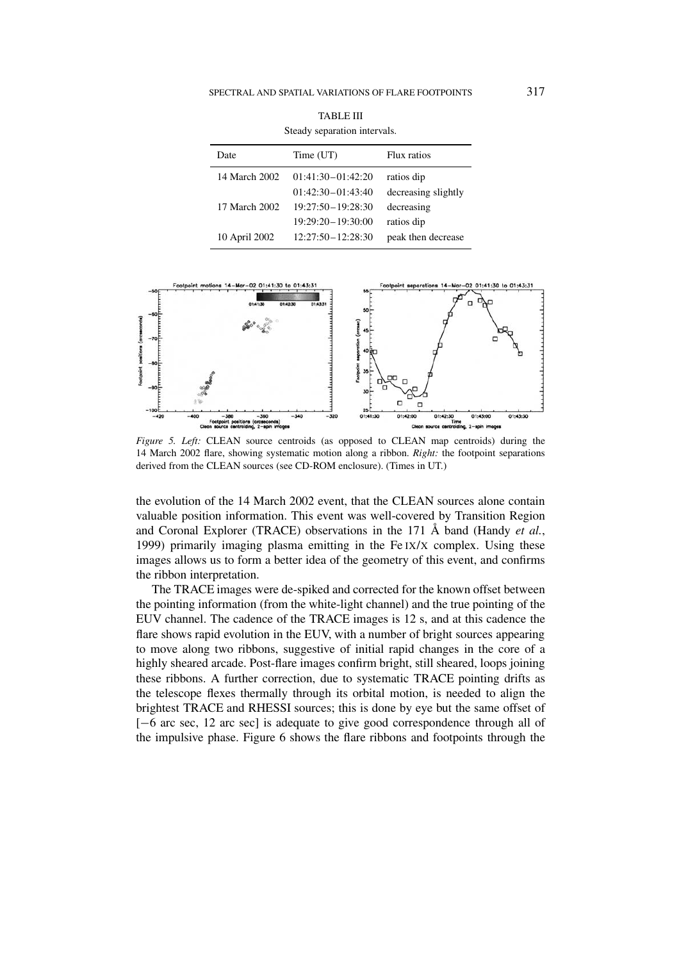| Time (UT)           | Flux ratios         |
|---------------------|---------------------|
| $01:41:30-01:42:20$ | ratios dip          |
| $01:42:30-01:43:40$ | decreasing slightly |
| $19:27:50-19:28:30$ | decreasing          |
| $19:29:20-19:30:00$ | ratios dip          |
| $12:27:50-12:28:30$ | peak then decrease  |
|                     |                     |

TABLE III Steady separation intervals.



*Figure 5. Left:* CLEAN source centroids (as opposed to CLEAN map centroids) during the 14 March 2002 flare, showing systematic motion along a ribbon. *Right:* the footpoint separations derived from the CLEAN sources (see CD-ROM enclosure). (Times in UT.)

the evolution of the 14 March 2002 event, that the CLEAN sources alone contain valuable position information. This event was well-covered by Transition Region and Coronal Explorer (TRACE) observations in the 171 Å band (Handy *et al.*, 1999) primarily imaging plasma emitting in the Fe IX/X complex. Using these images allows us to form a better idea of the geometry of this event, and confirms the ribbon interpretation.

The TRACE images were de-spiked and corrected for the known offset between the pointing information (from the white-light channel) and the true pointing of the EUV channel. The cadence of the TRACE images is 12 s, and at this cadence the flare shows rapid evolution in the EUV, with a number of bright sources appearing to move along two ribbons, suggestive of initial rapid changes in the core of a highly sheared arcade. Post-flare images confirm bright, still sheared, loops joining these ribbons. A further correction, due to systematic TRACE pointing drifts as the telescope flexes thermally through its orbital motion, is needed to align the brightest TRACE and RHESSI sources; this is done by eye but the same offset of [−6 arc sec, 12 arc sec] is adequate to give good correspondence through all of the impulsive phase. Figure 6 shows the flare ribbons and footpoints through the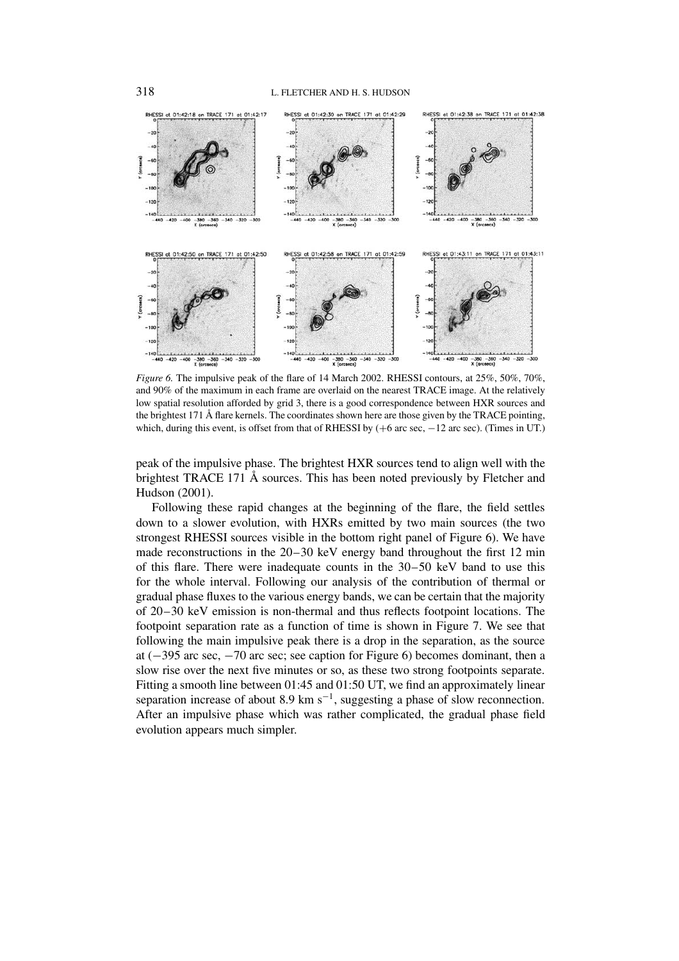

*Figure 6.* The impulsive peak of the flare of 14 March 2002. RHESSI contours, at 25%, 50%, 70%, and 90% of the maximum in each frame are overlaid on the nearest TRACE image. At the relatively low spatial resolution afforded by grid 3, there is a good correspondence between HXR sources and the brightest 171 Å flare kernels. The coordinates shown here are those given by the TRACE pointing, which, during this event, is offset from that of RHESSI by (+6 arc sec, −12 arc sec). (Times in UT.)

peak of the impulsive phase. The brightest HXR sources tend to align well with the brightest TRACE 171 Å sources. This has been noted previously by Fletcher and Hudson (2001).

Following these rapid changes at the beginning of the flare, the field settles down to a slower evolution, with HXRs emitted by two main sources (the two strongest RHESSI sources visible in the bottom right panel of Figure 6). We have made reconstructions in the 20–30 keV energy band throughout the first 12 min of this flare. There were inadequate counts in the 30–50 keV band to use this for the whole interval. Following our analysis of the contribution of thermal or gradual phase fluxes to the various energy bands, we can be certain that the majority of 20–30 keV emission is non-thermal and thus reflects footpoint locations. The footpoint separation rate as a function of time is shown in Figure 7. We see that following the main impulsive peak there is a drop in the separation, as the source at (−395 arc sec, −70 arc sec; see caption for Figure 6) becomes dominant, then a slow rise over the next five minutes or so, as these two strong footpoints separate. Fitting a smooth line between 01:45 and 01:50 UT, we find an approximately linear separation increase of about 8.9 km s<sup> $-1$ </sup>, suggesting a phase of slow reconnection. After an impulsive phase which was rather complicated, the gradual phase field evolution appears much simpler.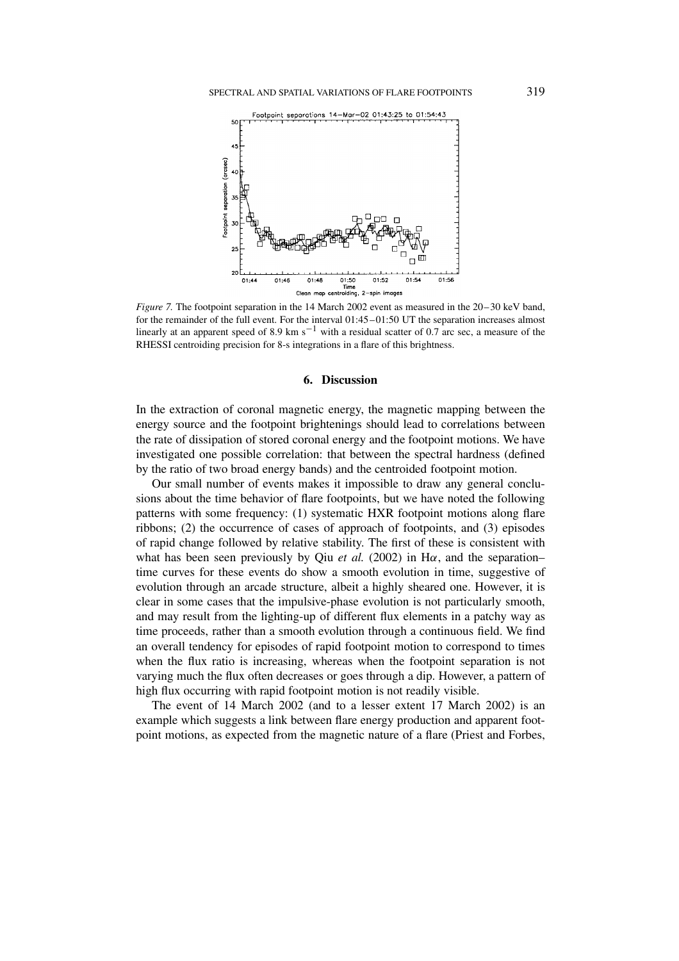

*Figure 7.* The footpoint separation in the 14 March 2002 event as measured in the 20–30 keV band, for the remainder of the full event. For the interval 01:45–01:50 UT the separation increases almost linearly at an apparent speed of 8.9 km s<sup>-1</sup> with a residual scatter of 0.7 arc sec, a measure of the RHESSI centroiding precision for 8-s integrations in a flare of this brightness.

### **6. Discussion**

In the extraction of coronal magnetic energy, the magnetic mapping between the energy source and the footpoint brightenings should lead to correlations between the rate of dissipation of stored coronal energy and the footpoint motions. We have investigated one possible correlation: that between the spectral hardness (defined by the ratio of two broad energy bands) and the centroided footpoint motion.

Our small number of events makes it impossible to draw any general conclusions about the time behavior of flare footpoints, but we have noted the following patterns with some frequency: (1) systematic HXR footpoint motions along flare ribbons; (2) the occurrence of cases of approach of footpoints, and (3) episodes of rapid change followed by relative stability. The first of these is consistent with what has been seen previously by Qiu *et al.* (2002) in H*α*, and the separation– time curves for these events do show a smooth evolution in time, suggestive of evolution through an arcade structure, albeit a highly sheared one. However, it is clear in some cases that the impulsive-phase evolution is not particularly smooth, and may result from the lighting-up of different flux elements in a patchy way as time proceeds, rather than a smooth evolution through a continuous field. We find an overall tendency for episodes of rapid footpoint motion to correspond to times when the flux ratio is increasing, whereas when the footpoint separation is not varying much the flux often decreases or goes through a dip. However, a pattern of high flux occurring with rapid footpoint motion is not readily visible.

The event of 14 March 2002 (and to a lesser extent 17 March 2002) is an example which suggests a link between flare energy production and apparent footpoint motions, as expected from the magnetic nature of a flare (Priest and Forbes,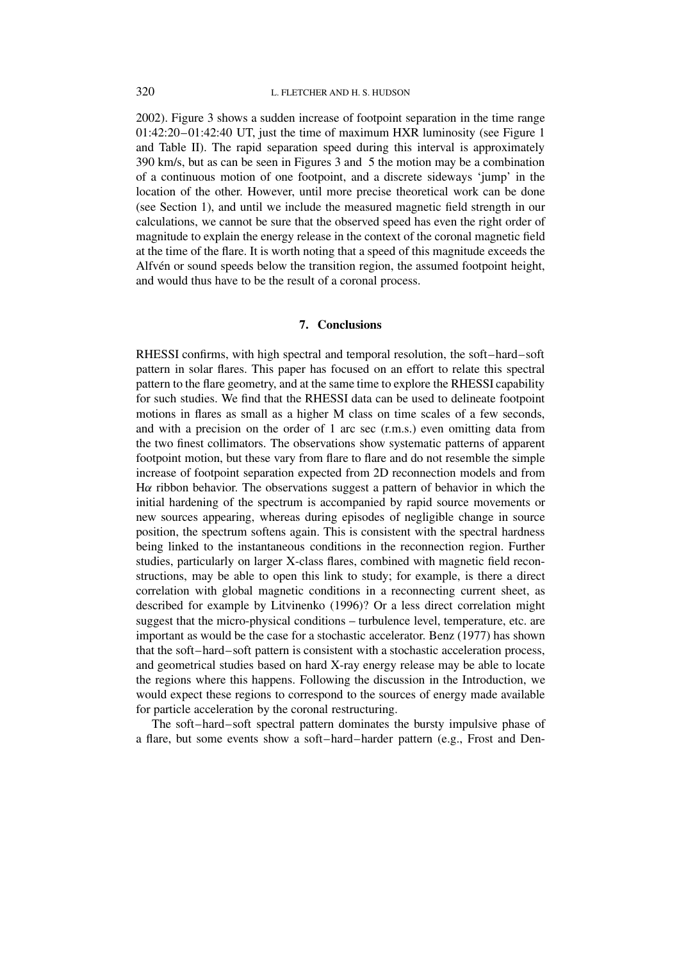2002). Figure 3 shows a sudden increase of footpoint separation in the time range 01:42:20–01:42:40 UT, just the time of maximum HXR luminosity (see Figure 1 and Table II). The rapid separation speed during this interval is approximately 390 km/s, but as can be seen in Figures 3 and 5 the motion may be a combination of a continuous motion of one footpoint, and a discrete sideways 'jump' in the location of the other. However, until more precise theoretical work can be done (see Section 1), and until we include the measured magnetic field strength in our calculations, we cannot be sure that the observed speed has even the right order of magnitude to explain the energy release in the context of the coronal magnetic field at the time of the flare. It is worth noting that a speed of this magnitude exceeds the Alfvén or sound speeds below the transition region, the assumed footpoint height, and would thus have to be the result of a coronal process.

#### **7. Conclusions**

RHESSI confirms, with high spectral and temporal resolution, the soft–hard–soft pattern in solar flares. This paper has focused on an effort to relate this spectral pattern to the flare geometry, and at the same time to explore the RHESSI capability for such studies. We find that the RHESSI data can be used to delineate footpoint motions in flares as small as a higher M class on time scales of a few seconds, and with a precision on the order of 1 arc sec (r.m.s.) even omitting data from the two finest collimators. The observations show systematic patterns of apparent footpoint motion, but these vary from flare to flare and do not resemble the simple increase of footpoint separation expected from 2D reconnection models and from H*α* ribbon behavior. The observations suggest a pattern of behavior in which the initial hardening of the spectrum is accompanied by rapid source movements or new sources appearing, whereas during episodes of negligible change in source position, the spectrum softens again. This is consistent with the spectral hardness being linked to the instantaneous conditions in the reconnection region. Further studies, particularly on larger X-class flares, combined with magnetic field reconstructions, may be able to open this link to study; for example, is there a direct correlation with global magnetic conditions in a reconnecting current sheet, as described for example by Litvinenko (1996)? Or a less direct correlation might suggest that the micro-physical conditions – turbulence level, temperature, etc. are important as would be the case for a stochastic accelerator. Benz (1977) has shown that the soft–hard–soft pattern is consistent with a stochastic acceleration process, and geometrical studies based on hard X-ray energy release may be able to locate the regions where this happens. Following the discussion in the Introduction, we would expect these regions to correspond to the sources of energy made available for particle acceleration by the coronal restructuring.

The soft–hard–soft spectral pattern dominates the bursty impulsive phase of a flare, but some events show a soft–hard–harder pattern (e.g., Frost and Den